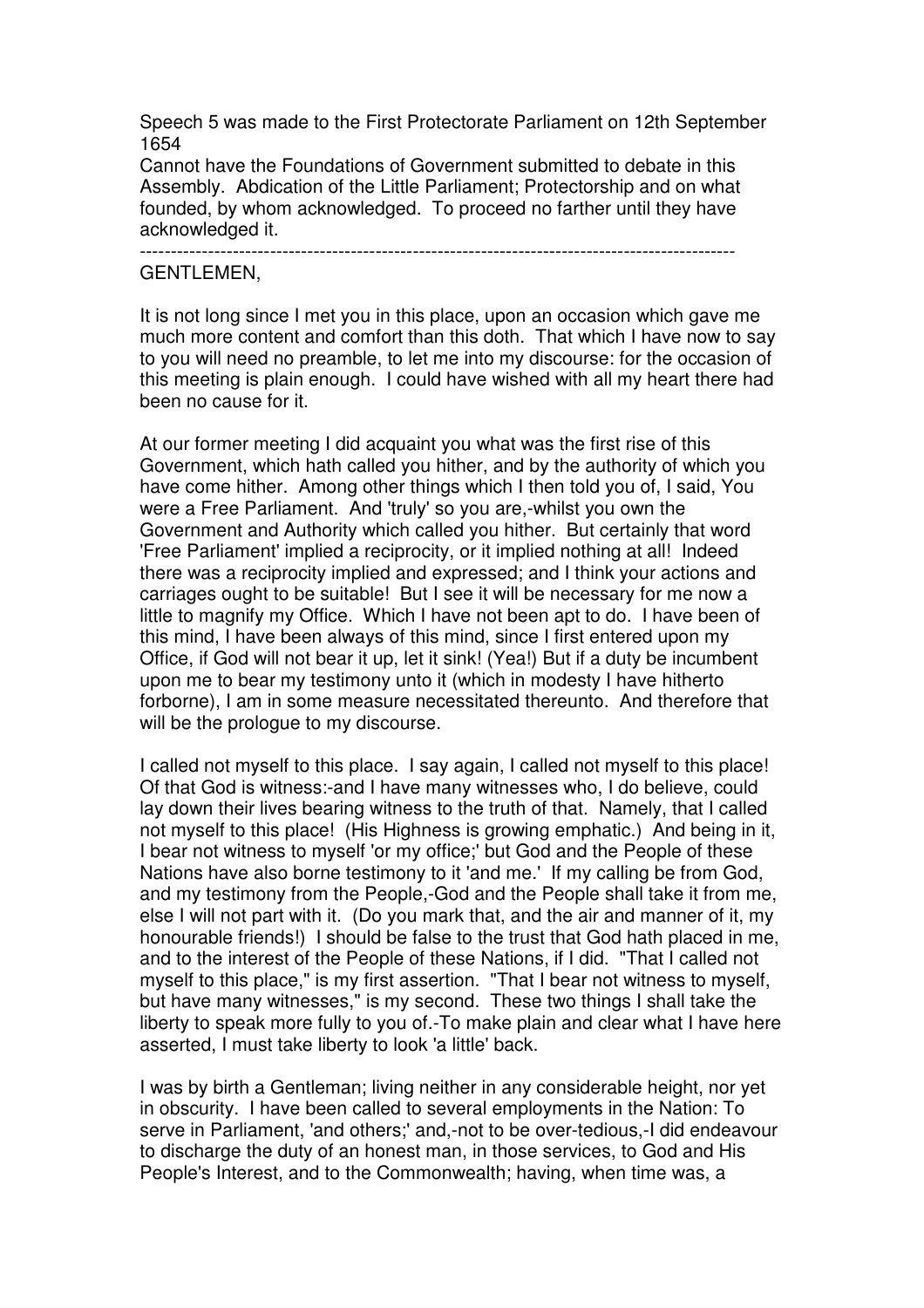Speech 5 was made to the First Protectorate Parliament on 12th September 1654

Cannot have the Foundations of Government submitted to debate in this Assembly. Abdication of the Little Parliament; Protectorship and on what founded, by whom acknowledged. To proceed no farther until they have acknowledged it.

------------------------------------------------------------------------------------------------

## GENTLEMEN,

It is not long since I met you in this place, upon an occasion which gave me much more content and comfort than this doth. That which I have now to say to you will need no preamble, to let me into my discourse: for the occasion of this meeting is plain enough. I could have wished with all my heart there had been no cause for it.

At our former meeting I did acquaint you what was the first rise of this Government, which hath called you hither, and by the authority of which you have come hither. Among other things which I then told you of, I said, You were a Free Parliament. And 'truly' so you are,-whilst you own the Government and Authority which called you hither. But certainly that word 'Free Parliament' implied a reciprocity, or it implied nothing at all! Indeed there was a reciprocity implied and expressed; and I think your actions and carriages ought to be suitable! But I see it will be necessary for me now a little to magnify my Office. Which I have not been apt to do. I have been of this mind, I have been always of this mind, since I first entered upon my Office, if God will not bear it up, let it sink! (Yea!) But if a duty be incumbent upon me to bear my testimony unto it (which in modesty I have hitherto forborne), I am in some measure necessitated thereunto. And therefore that will be the prologue to my discourse.

I called not myself to this place. I say again, I called not myself to this place! Of that God is witness:-and I have many witnesses who, I do believe, could lay down their lives bearing witness to the truth of that. Namely, that I called not myself to this place! (His Highness is growing emphatic.) And being in it, I bear not witness to myself 'or my office;' but God and the People of these Nations have also borne testimony to it 'and me.' If my calling be from God, and my testimony from the People,-God and the People shall take it from me, else I will not part with it. (Do you mark that, and the air and manner of it, my honourable friends!) I should be false to the trust that God hath placed in me, and to the interest of the People of these Nations, if I did. "That I called not myself to this place," is my first assertion. "That I bear not witness to myself, but have many witnesses," is my second. These two things I shall take the liberty to speak more fully to you of.-To make plain and clear what I have here asserted, I must take liberty to look 'a little' back.

I was by birth a Gentleman; living neither in any considerable height, nor yet in obscurity. I have been called to several employments in the Nation: To serve in Parliament, 'and others;' and,-not to be over-tedious,-I did endeavour to discharge the duty of an honest man, in those services, to God and His People's Interest, and to the Commonwealth; having, when time was, a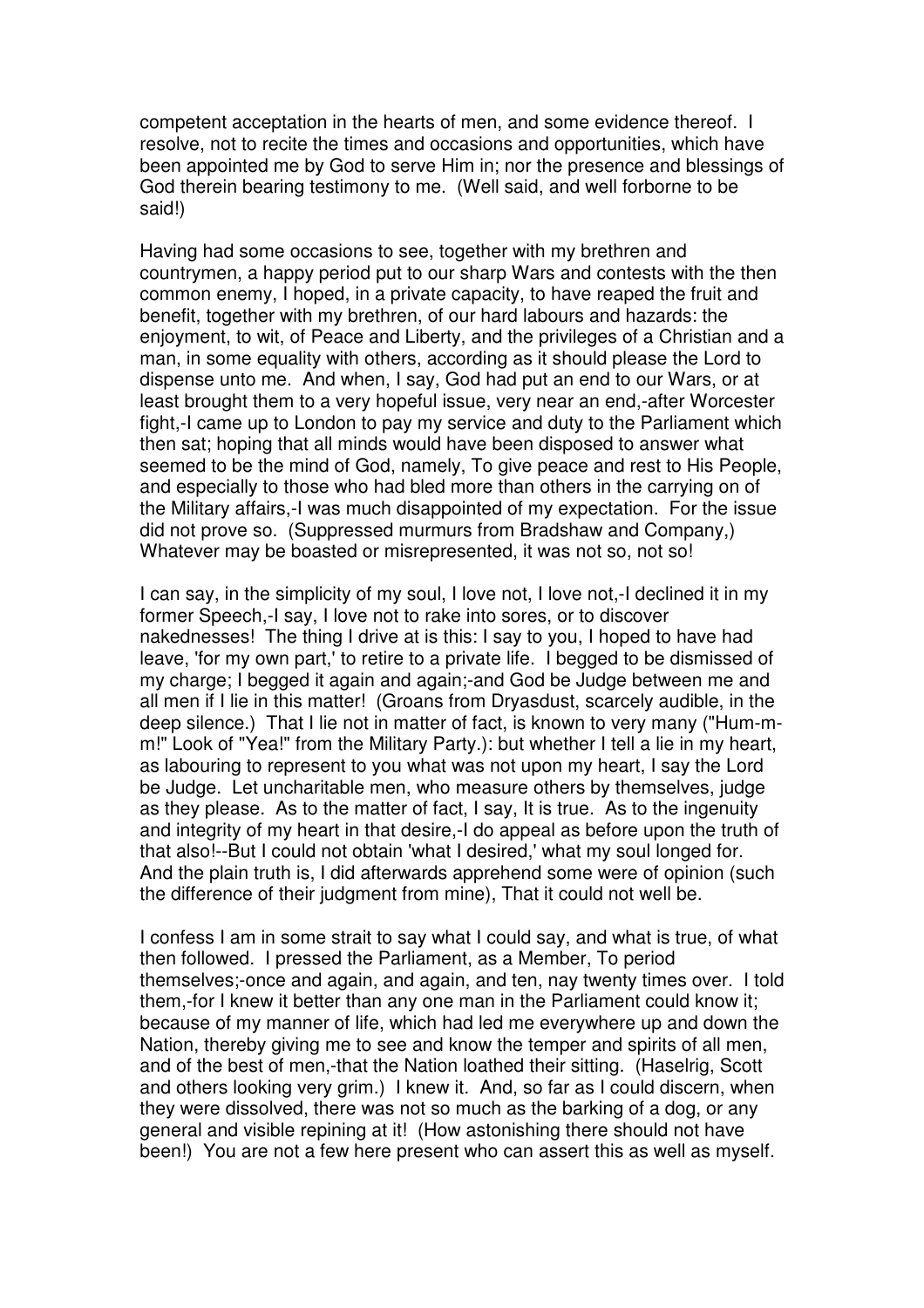competent acceptation in the hearts of men, and some evidence thereof. I resolve, not to recite the times and occasions and opportunities, which have been appointed me by God to serve Him in; nor the presence and blessings of God therein bearing testimony to me. (Well said, and well forborne to be said!)

Having had some occasions to see, together with my brethren and countrymen, a happy period put to our sharp Wars and contests with the then common enemy, I hoped, in a private capacity, to have reaped the fruit and benefit, together with my brethren, of our hard labours and hazards: the enjoyment, to wit, of Peace and Liberty, and the privileges of a Christian and a man, in some equality with others, according as it should please the Lord to dispense unto me. And when, I say, God had put an end to our Wars, or at least brought them to a very hopeful issue, very near an end,-after Worcester fight,-I came up to London to pay my service and duty to the Parliament which then sat; hoping that all minds would have been disposed to answer what seemed to be the mind of God, namely, To give peace and rest to His People, and especially to those who had bled more than others in the carrying on of the Military affairs,-I was much disappointed of my expectation. For the issue did not prove so. (Suppressed murmurs from Bradshaw and Company,) Whatever may be boasted or misrepresented, it was not so, not so!

I can say, in the simplicity of my soul, I love not, I love not,-I declined it in my former Speech,-I say, I love not to rake into sores, or to discover nakednesses! The thing I drive at is this: I say to you, I hoped to have had leave, 'for my own part,' to retire to a private life. I begged to be dismissed of my charge; I begged it again and again;-and God be Judge between me and all men if I lie in this matter! (Groans from Dryasdust, scarcely audible, in the deep silence.) That I lie not in matter of fact, is known to very many ("Hum-mm!" Look of "Yea!" from the Military Party.): but whether I tell a lie in my heart, as labouring to represent to you what was not upon my heart, I say the Lord be Judge. Let uncharitable men, who measure others by themselves, judge as they please. As to the matter of fact, I say, It is true. As to the ingenuity and integrity of my heart in that desire,-I do appeal as before upon the truth of that also!--But I could not obtain 'what I desired,' what my soul longed for. And the plain truth is, I did afterwards apprehend some were of opinion (such the difference of their judgment from mine), That it could not well be.

I confess I am in some strait to say what I could say, and what is true, of what then followed. I pressed the Parliament, as a Member, To period themselves;-once and again, and again, and ten, nay twenty times over. I told them,-for I knew it better than any one man in the Parliament could know it; because of my manner of life, which had led me everywhere up and down the Nation, thereby giving me to see and know the temper and spirits of all men, and of the best of men,-that the Nation loathed their sitting. (Haselrig, Scott and others looking very grim.) I knew it. And, so far as I could discern, when they were dissolved, there was not so much as the barking of a dog, or any general and visible repining at it! (How astonishing there should not have been!) You are not a few here present who can assert this as well as myself.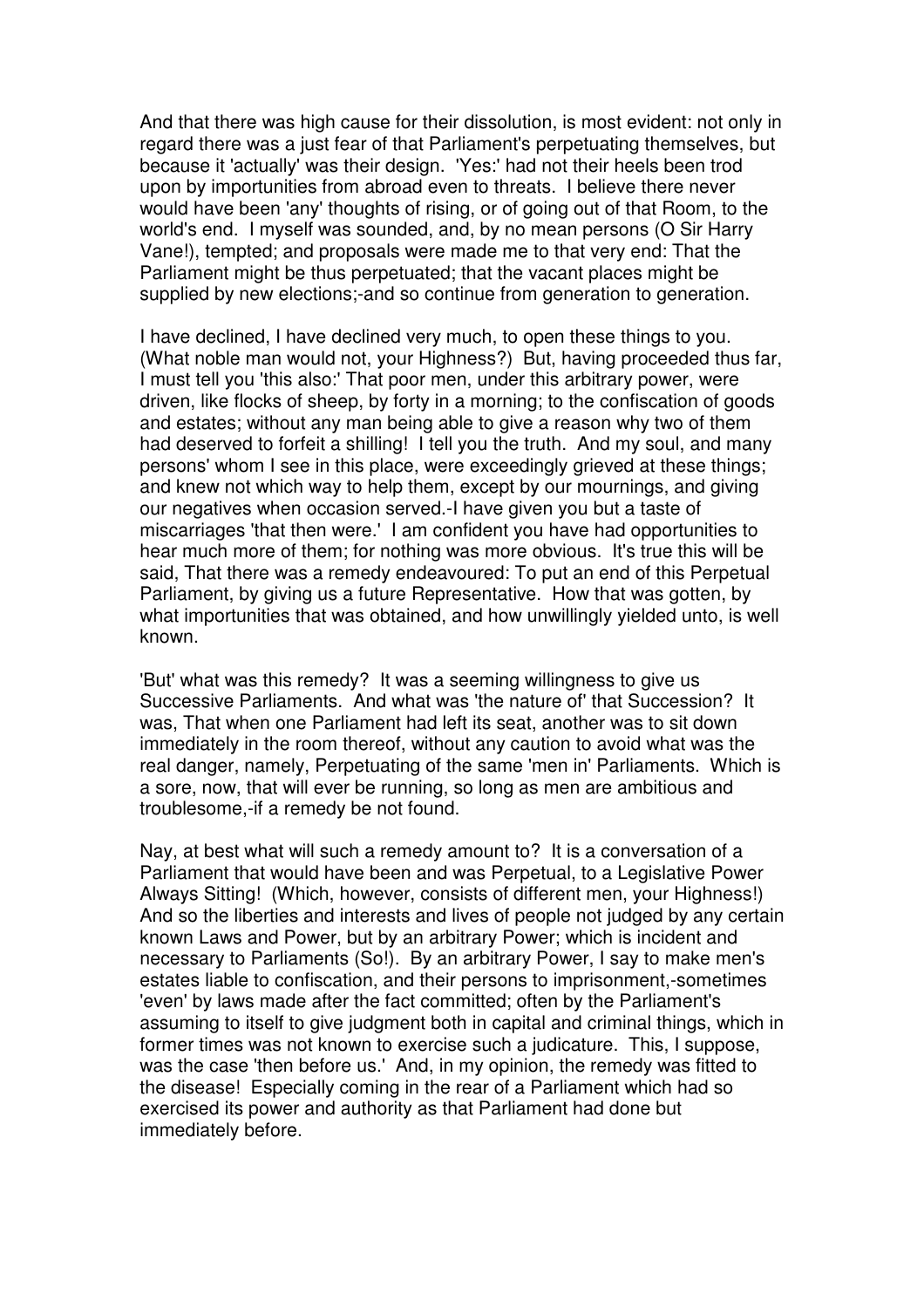And that there was high cause for their dissolution, is most evident: not only in regard there was a just fear of that Parliament's perpetuating themselves, but because it 'actually' was their design. 'Yes:' had not their heels been trod upon by importunities from abroad even to threats. I believe there never would have been 'any' thoughts of rising, or of going out of that Room, to the world's end. I myself was sounded, and, by no mean persons (O Sir Harry Vane!), tempted; and proposals were made me to that very end: That the Parliament might be thus perpetuated; that the vacant places might be supplied by new elections;-and so continue from generation to generation.

I have declined, I have declined very much, to open these things to you. (What noble man would not, your Highness?) But, having proceeded thus far, I must tell you 'this also:' That poor men, under this arbitrary power, were driven, like flocks of sheep, by forty in a morning; to the confiscation of goods and estates; without any man being able to give a reason why two of them had deserved to forfeit a shilling! I tell you the truth. And my soul, and many persons' whom I see in this place, were exceedingly grieved at these things; and knew not which way to help them, except by our mournings, and giving our negatives when occasion served.-I have given you but a taste of miscarriages 'that then were.' I am confident you have had opportunities to hear much more of them; for nothing was more obvious. It's true this will be said, That there was a remedy endeavoured: To put an end of this Perpetual Parliament, by giving us a future Representative. How that was gotten, by what importunities that was obtained, and how unwillingly yielded unto, is well known.

'But' what was this remedy? It was a seeming willingness to give us Successive Parliaments. And what was 'the nature of' that Succession? It was, That when one Parliament had left its seat, another was to sit down immediately in the room thereof, without any caution to avoid what was the real danger, namely, Perpetuating of the same 'men in' Parliaments. Which is a sore, now, that will ever be running, so long as men are ambitious and troublesome,-if a remedy be not found.

Nay, at best what will such a remedy amount to? It is a conversation of a Parliament that would have been and was Perpetual, to a Legislative Power Always Sitting! (Which, however, consists of different men, your Highness!) And so the liberties and interests and lives of people not judged by any certain known Laws and Power, but by an arbitrary Power; which is incident and necessary to Parliaments (So!). By an arbitrary Power, I say to make men's estates liable to confiscation, and their persons to imprisonment,-sometimes 'even' by laws made after the fact committed; often by the Parliament's assuming to itself to give judgment both in capital and criminal things, which in former times was not known to exercise such a judicature. This, I suppose, was the case 'then before us.' And, in my opinion, the remedy was fitted to the disease! Especially coming in the rear of a Parliament which had so exercised its power and authority as that Parliament had done but immediately before.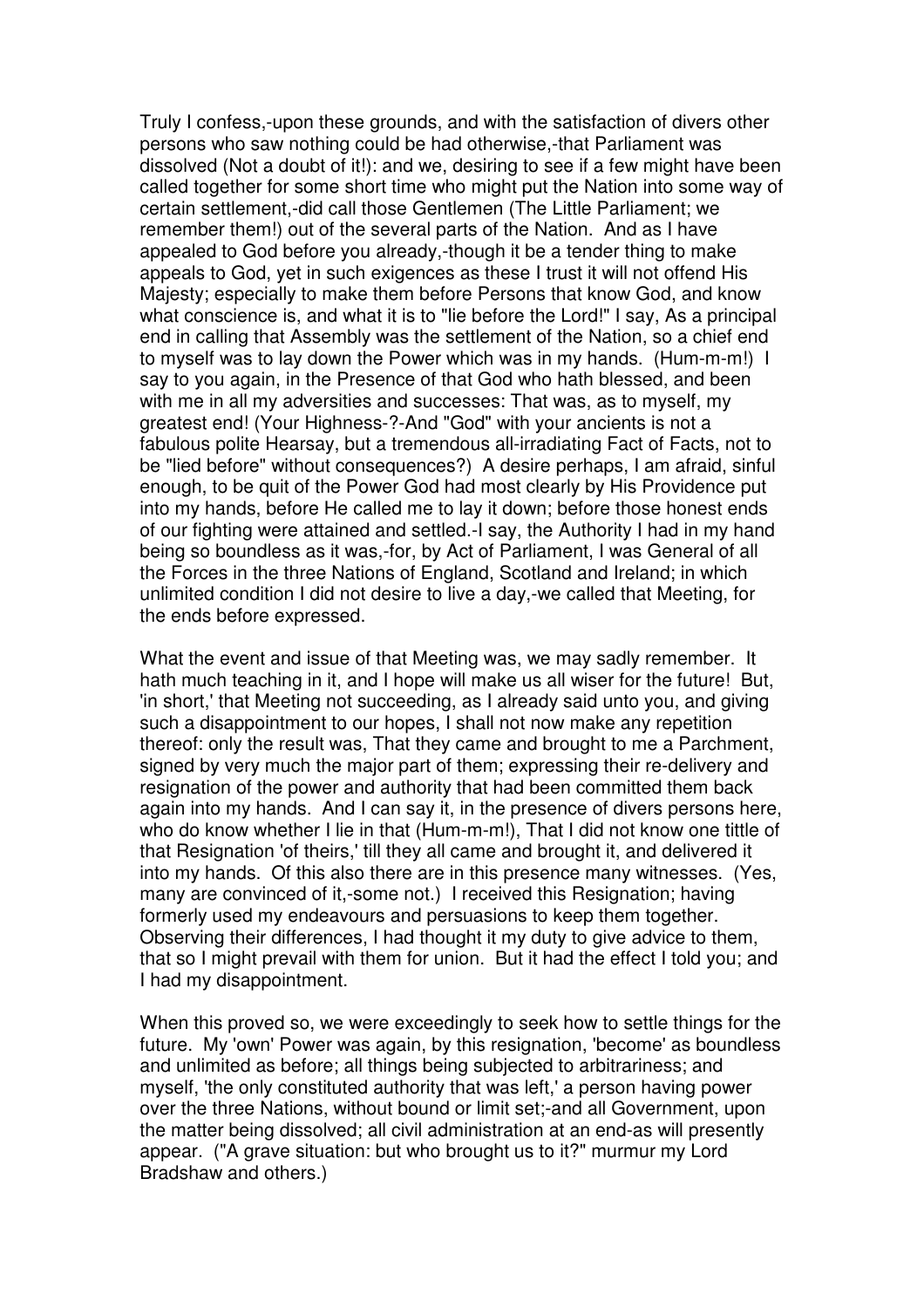Truly I confess,-upon these grounds, and with the satisfaction of divers other persons who saw nothing could be had otherwise,-that Parliament was dissolved (Not a doubt of it!): and we, desiring to see if a few might have been called together for some short time who might put the Nation into some way of certain settlement,-did call those Gentlemen (The Little Parliament; we remember them!) out of the several parts of the Nation. And as I have appealed to God before you already,-though it be a tender thing to make appeals to God, yet in such exigences as these I trust it will not offend His Majesty; especially to make them before Persons that know God, and know what conscience is, and what it is to "lie before the Lord!" I say. As a principal end in calling that Assembly was the settlement of the Nation, so a chief end to myself was to lay down the Power which was in my hands. (Hum-m-m!) I say to you again, in the Presence of that God who hath blessed, and been with me in all my adversities and successes: That was, as to myself, my greatest end! (Your Highness-?-And "God" with your ancients is not a fabulous polite Hearsay, but a tremendous all-irradiating Fact of Facts, not to be "lied before" without consequences?) A desire perhaps, I am afraid, sinful enough, to be quit of the Power God had most clearly by His Providence put into my hands, before He called me to lay it down; before those honest ends of our fighting were attained and settled.-I say, the Authority I had in my hand being so boundless as it was,-for, by Act of Parliament, I was General of all the Forces in the three Nations of England, Scotland and Ireland; in which unlimited condition I did not desire to live a day,-we called that Meeting, for the ends before expressed.

What the event and issue of that Meeting was, we may sadly remember. It hath much teaching in it, and I hope will make us all wiser for the future! But, 'in short,' that Meeting not succeeding, as I already said unto you, and giving such a disappointment to our hopes, I shall not now make any repetition thereof: only the result was, That they came and brought to me a Parchment, signed by very much the major part of them; expressing their re-delivery and resignation of the power and authority that had been committed them back again into my hands. And I can say it, in the presence of divers persons here, who do know whether I lie in that (Hum-m-m!), That I did not know one tittle of that Resignation 'of theirs,' till they all came and brought it, and delivered it into my hands. Of this also there are in this presence many witnesses. (Yes, many are convinced of it,-some not.) I received this Resignation; having formerly used my endeavours and persuasions to keep them together. Observing their differences, I had thought it my duty to give advice to them, that so I might prevail with them for union. But it had the effect I told you; and I had my disappointment.

When this proved so, we were exceedingly to seek how to settle things for the future. My 'own' Power was again, by this resignation, 'become' as boundless and unlimited as before; all things being subjected to arbitrariness; and myself, 'the only constituted authority that was left,' a person having power over the three Nations, without bound or limit set;-and all Government, upon the matter being dissolved; all civil administration at an end-as will presently appear. ("A grave situation: but who brought us to it?" murmur my Lord Bradshaw and others.)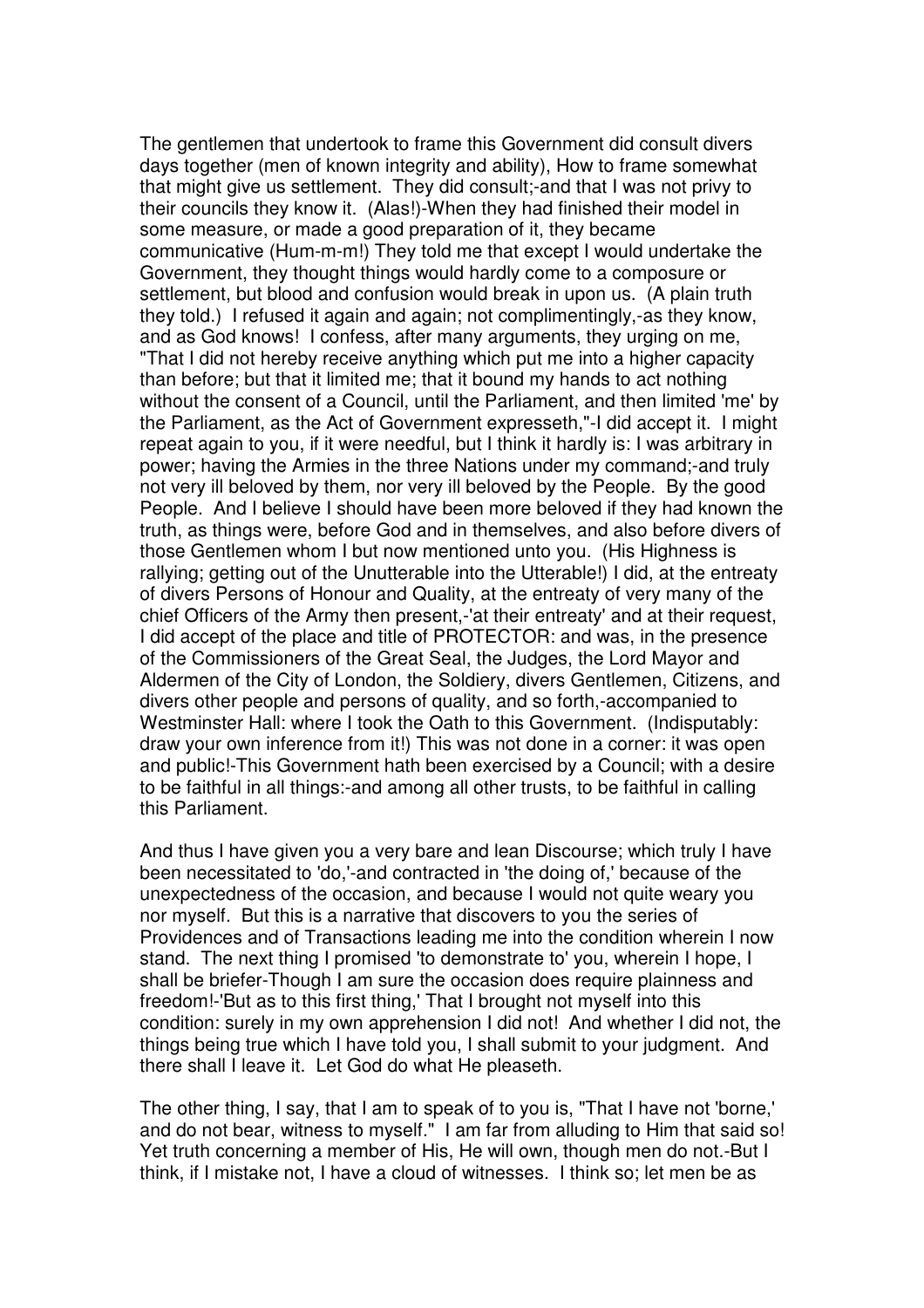The gentlemen that undertook to frame this Government did consult divers days together (men of known integrity and ability), How to frame somewhat that might give us settlement. They did consult;-and that I was not privy to their councils they know it. (Alas!)-When they had finished their model in some measure, or made a good preparation of it, they became communicative (Hum-m-m!) They told me that except I would undertake the Government, they thought things would hardly come to a composure or settlement, but blood and confusion would break in upon us. (A plain truth they told.) I refused it again and again; not complimentingly,-as they know, and as God knows! I confess, after many arguments, they urging on me, "That I did not hereby receive anything which put me into a higher capacity than before; but that it limited me; that it bound my hands to act nothing without the consent of a Council, until the Parliament, and then limited 'me' by the Parliament, as the Act of Government expresseth,"-I did accept it. I might repeat again to you, if it were needful, but I think it hardly is: I was arbitrary in power; having the Armies in the three Nations under my command;-and truly not very ill beloved by them, nor very ill beloved by the People. By the good People. And I believe I should have been more beloved if they had known the truth, as things were, before God and in themselves, and also before divers of those Gentlemen whom I but now mentioned unto you. (His Highness is rallying; getting out of the Unutterable into the Utterable!) I did, at the entreaty of divers Persons of Honour and Quality, at the entreaty of very many of the chief Officers of the Army then present,-'at their entreaty' and at their request, I did accept of the place and title of PROTECTOR: and was, in the presence of the Commissioners of the Great Seal, the Judges, the Lord Mayor and Aldermen of the City of London, the Soldiery, divers Gentlemen, Citizens, and divers other people and persons of quality, and so forth,-accompanied to Westminster Hall: where I took the Oath to this Government. (Indisputably: draw your own inference from it!) This was not done in a corner: it was open and public!-This Government hath been exercised by a Council; with a desire to be faithful in all things:-and among all other trusts, to be faithful in calling this Parliament.

And thus I have given you a very bare and lean Discourse; which truly I have been necessitated to 'do,'-and contracted in 'the doing of,' because of the unexpectedness of the occasion, and because I would not quite weary you nor myself. But this is a narrative that discovers to you the series of Providences and of Transactions leading me into the condition wherein I now stand. The next thing I promised 'to demonstrate to' you, wherein I hope, I shall be briefer-Though I am sure the occasion does require plainness and freedom!-'But as to this first thing,' That I brought not myself into this condition: surely in my own apprehension I did not! And whether I did not, the things being true which I have told you, I shall submit to your judgment. And there shall I leave it. Let God do what He pleaseth.

The other thing, I say, that I am to speak of to you is, "That I have not 'borne,' and do not bear, witness to myself." I am far from alluding to Him that said so! Yet truth concerning a member of His, He will own, though men do not.-But I think, if I mistake not, I have a cloud of witnesses. I think so; let men be as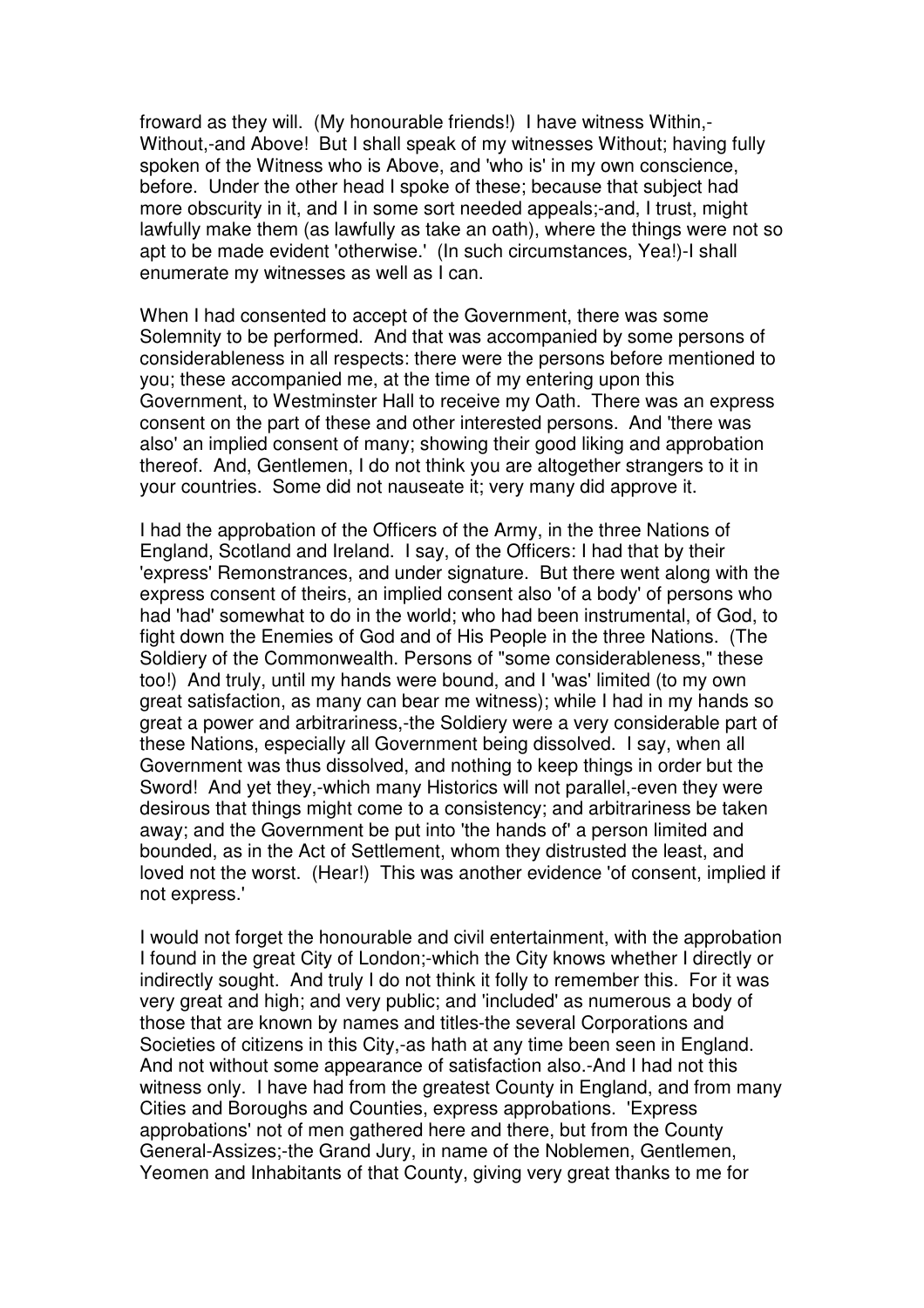froward as they will. (My honourable friends!) I have witness Within,- Without,-and Above! But I shall speak of my witnesses Without; having fully spoken of the Witness who is Above, and 'who is' in my own conscience, before. Under the other head I spoke of these; because that subject had more obscurity in it, and I in some sort needed appeals;-and, I trust, might lawfully make them (as lawfully as take an oath), where the things were not so apt to be made evident 'otherwise.' (In such circumstances, Yea!)-I shall enumerate my witnesses as well as I can.

When I had consented to accept of the Government, there was some Solemnity to be performed. And that was accompanied by some persons of considerableness in all respects: there were the persons before mentioned to you; these accompanied me, at the time of my entering upon this Government, to Westminster Hall to receive my Oath. There was an express consent on the part of these and other interested persons. And 'there was also' an implied consent of many; showing their good liking and approbation thereof. And, Gentlemen, I do not think you are altogether strangers to it in your countries. Some did not nauseate it; very many did approve it.

I had the approbation of the Officers of the Army, in the three Nations of England, Scotland and Ireland. I say, of the Officers: I had that by their 'express' Remonstrances, and under signature. But there went along with the express consent of theirs, an implied consent also 'of a body' of persons who had 'had' somewhat to do in the world; who had been instrumental, of God, to fight down the Enemies of God and of His People in the three Nations. (The Soldiery of the Commonwealth. Persons of "some considerableness," these too!) And truly, until my hands were bound, and I 'was' limited (to my own great satisfaction, as many can bear me witness); while I had in my hands so great a power and arbitrariness,-the Soldiery were a very considerable part of these Nations, especially all Government being dissolved. I say, when all Government was thus dissolved, and nothing to keep things in order but the Sword! And yet they,-which many Historics will not parallel,-even they were desirous that things might come to a consistency; and arbitrariness be taken away; and the Government be put into 'the hands of' a person limited and bounded, as in the Act of Settlement, whom they distrusted the least, and loved not the worst. (Hear!) This was another evidence 'of consent, implied if not express.'

I would not forget the honourable and civil entertainment, with the approbation I found in the great City of London;-which the City knows whether I directly or indirectly sought. And truly I do not think it folly to remember this. For it was very great and high; and very public; and 'included' as numerous a body of those that are known by names and titles-the several Corporations and Societies of citizens in this City,-as hath at any time been seen in England. And not without some appearance of satisfaction also.-And I had not this witness only. I have had from the greatest County in England, and from many Cities and Boroughs and Counties, express approbations. 'Express approbations' not of men gathered here and there, but from the County General-Assizes;-the Grand Jury, in name of the Noblemen, Gentlemen, Yeomen and Inhabitants of that County, giving very great thanks to me for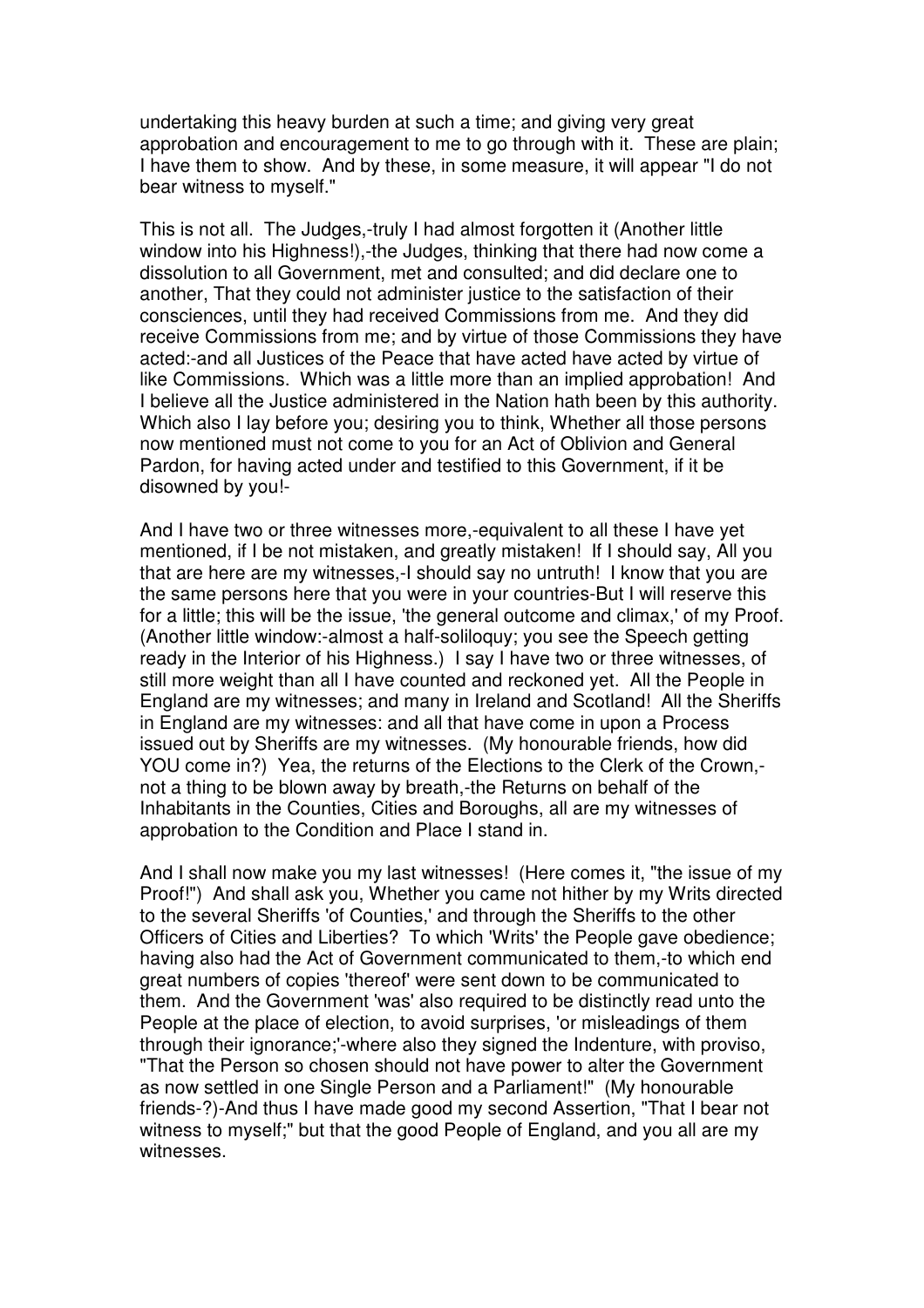undertaking this heavy burden at such a time; and giving very great approbation and encouragement to me to go through with it. These are plain; I have them to show. And by these, in some measure, it will appear "I do not bear witness to myself."

This is not all. The Judges,-truly I had almost forgotten it (Another little window into his Highness!),-the Judges, thinking that there had now come a dissolution to all Government, met and consulted; and did declare one to another, That they could not administer justice to the satisfaction of their consciences, until they had received Commissions from me. And they did receive Commissions from me; and by virtue of those Commissions they have acted:-and all Justices of the Peace that have acted have acted by virtue of like Commissions. Which was a little more than an implied approbation! And I believe all the Justice administered in the Nation hath been by this authority. Which also I lay before you; desiring you to think, Whether all those persons now mentioned must not come to you for an Act of Oblivion and General Pardon, for having acted under and testified to this Government, if it be disowned by you!-

And I have two or three witnesses more,-equivalent to all these I have yet mentioned, if I be not mistaken, and greatly mistaken! If I should say, All you that are here are my witnesses,-I should say no untruth! I know that you are the same persons here that you were in your countries-But I will reserve this for a little; this will be the issue, 'the general outcome and climax,' of my Proof. (Another little window:-almost a half-soliloquy; you see the Speech getting ready in the Interior of his Highness.) I say I have two or three witnesses, of still more weight than all I have counted and reckoned yet. All the People in England are my witnesses; and many in Ireland and Scotland! All the Sheriffs in England are my witnesses: and all that have come in upon a Process issued out by Sheriffs are my witnesses. (My honourable friends, how did YOU come in?) Yea, the returns of the Elections to the Clerk of the Crown, not a thing to be blown away by breath,-the Returns on behalf of the Inhabitants in the Counties, Cities and Boroughs, all are my witnesses of approbation to the Condition and Place I stand in.

And I shall now make you my last witnesses! (Here comes it, "the issue of my Proof!") And shall ask you, Whether you came not hither by my Writs directed to the several Sheriffs 'of Counties,' and through the Sheriffs to the other Officers of Cities and Liberties? To which 'Writs' the People gave obedience; having also had the Act of Government communicated to them,-to which end great numbers of copies 'thereof' were sent down to be communicated to them. And the Government 'was' also required to be distinctly read unto the People at the place of election, to avoid surprises, 'or misleadings of them through their ignorance;'-where also they signed the Indenture, with proviso, "That the Person so chosen should not have power to alter the Government as now settled in one Single Person and a Parliament!" (My honourable friends-?)-And thus I have made good my second Assertion, "That I bear not witness to myself;" but that the good People of England, and you all are my witnesses.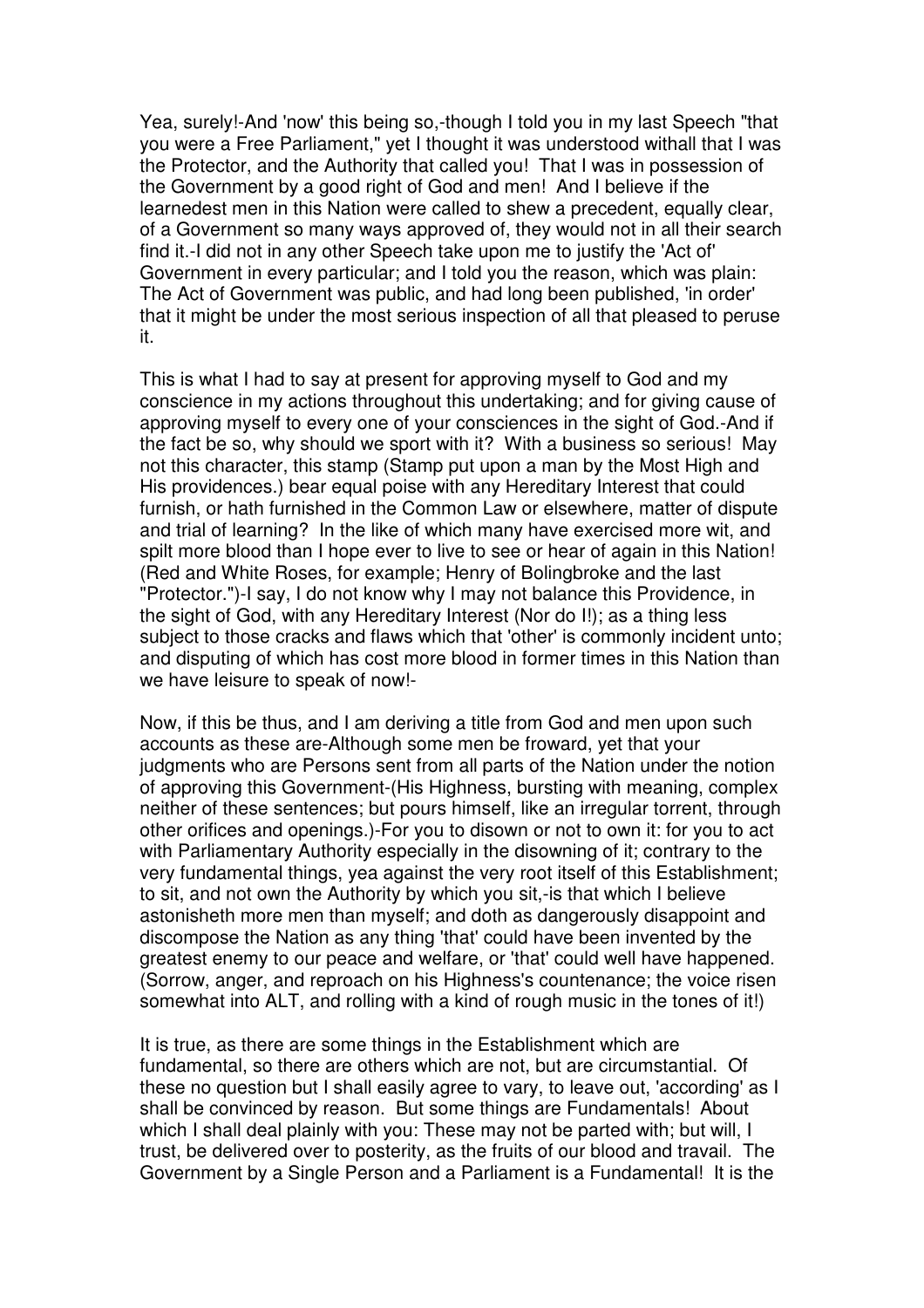Yea, surely!-And 'now' this being so,-though I told you in my last Speech "that you were a Free Parliament," yet I thought it was understood withall that I was the Protector, and the Authority that called you! That I was in possession of the Government by a good right of God and men! And I believe if the learnedest men in this Nation were called to shew a precedent, equally clear, of a Government so many ways approved of, they would not in all their search find it.-I did not in any other Speech take upon me to justify the 'Act of' Government in every particular; and I told you the reason, which was plain: The Act of Government was public, and had long been published, 'in order' that it might be under the most serious inspection of all that pleased to peruse it.

This is what I had to say at present for approving myself to God and my conscience in my actions throughout this undertaking; and for giving cause of approving myself to every one of your consciences in the sight of God.-And if the fact be so, why should we sport with it? With a business so serious! May not this character, this stamp (Stamp put upon a man by the Most High and His providences.) bear equal poise with any Hereditary Interest that could furnish, or hath furnished in the Common Law or elsewhere, matter of dispute and trial of learning? In the like of which many have exercised more wit, and spilt more blood than I hope ever to live to see or hear of again in this Nation! (Red and White Roses, for example; Henry of Bolingbroke and the last "Protector.")-I say, I do not know why I may not balance this Providence, in the sight of God, with any Hereditary Interest (Nor do I!); as a thing less subject to those cracks and flaws which that 'other' is commonly incident unto; and disputing of which has cost more blood in former times in this Nation than we have leisure to speak of now!-

Now, if this be thus, and I am deriving a title from God and men upon such accounts as these are-Although some men be froward, yet that your judgments who are Persons sent from all parts of the Nation under the notion of approving this Government-(His Highness, bursting with meaning, complex neither of these sentences; but pours himself, like an irregular torrent, through other orifices and openings.)-For you to disown or not to own it: for you to act with Parliamentary Authority especially in the disowning of it; contrary to the very fundamental things, yea against the very root itself of this Establishment; to sit, and not own the Authority by which you sit,-is that which I believe astonisheth more men than myself; and doth as dangerously disappoint and discompose the Nation as any thing 'that' could have been invented by the greatest enemy to our peace and welfare, or 'that' could well have happened. (Sorrow, anger, and reproach on his Highness's countenance; the voice risen somewhat into ALT, and rolling with a kind of rough music in the tones of it!)

It is true, as there are some things in the Establishment which are fundamental, so there are others which are not, but are circumstantial. Of these no question but I shall easily agree to vary, to leave out, 'according' as I shall be convinced by reason. But some things are Fundamentals! About which I shall deal plainly with you: These may not be parted with; but will, I trust, be delivered over to posterity, as the fruits of our blood and travail. The Government by a Single Person and a Parliament is a Fundamental! It is the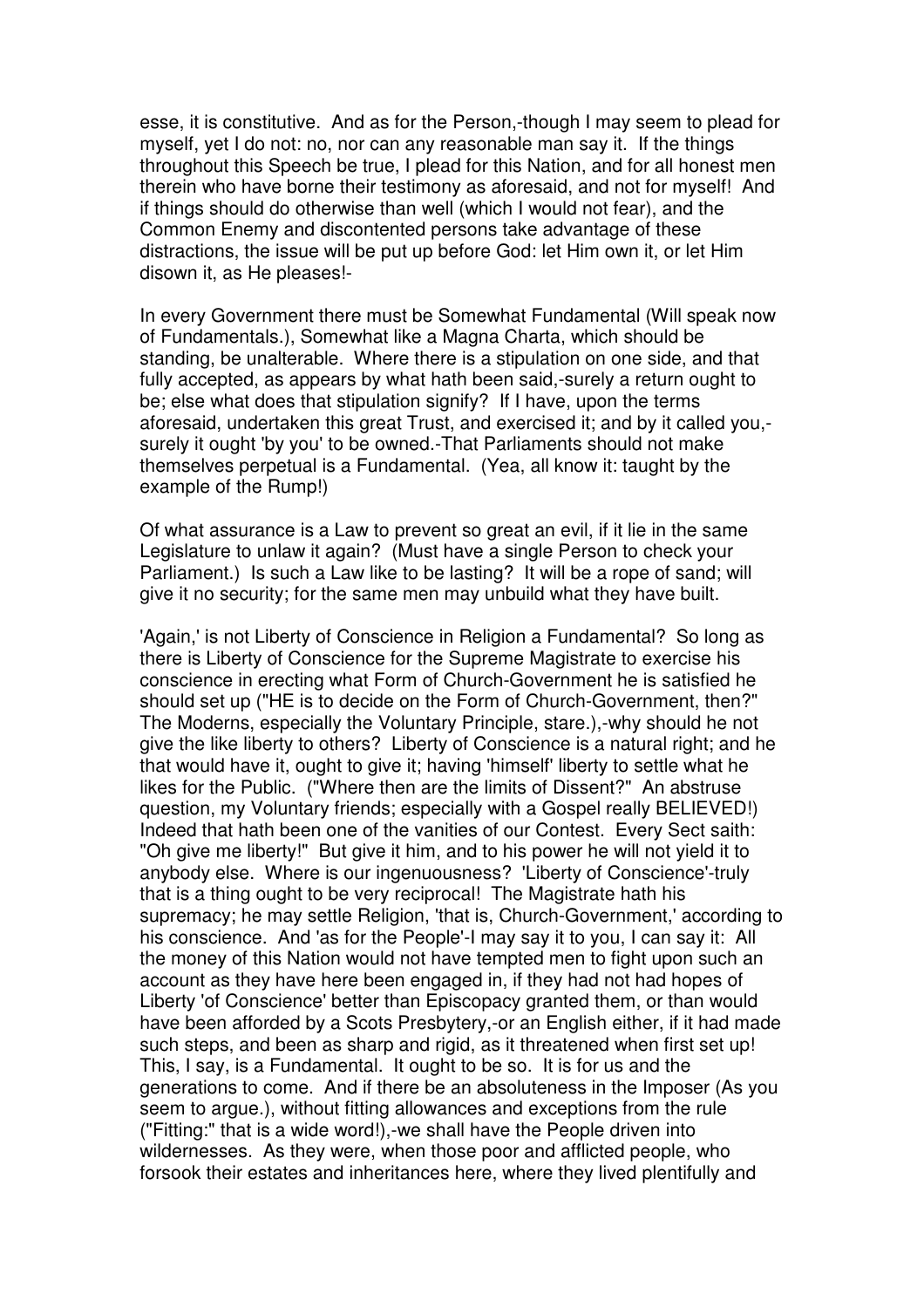esse, it is constitutive. And as for the Person,-though I may seem to plead for myself, yet I do not: no, nor can any reasonable man say it. If the things throughout this Speech be true, I plead for this Nation, and for all honest men therein who have borne their testimony as aforesaid, and not for myself! And if things should do otherwise than well (which I would not fear), and the Common Enemy and discontented persons take advantage of these distractions, the issue will be put up before God: let Him own it, or let Him disown it, as He pleases!-

In every Government there must be Somewhat Fundamental (Will speak now of Fundamentals.), Somewhat like a Magna Charta, which should be standing, be unalterable. Where there is a stipulation on one side, and that fully accepted, as appears by what hath been said,-surely a return ought to be; else what does that stipulation signify? If I have, upon the terms aforesaid, undertaken this great Trust, and exercised it; and by it called you, surely it ought 'by you' to be owned.-That Parliaments should not make themselves perpetual is a Fundamental. (Yea, all know it: taught by the example of the Rump!)

Of what assurance is a Law to prevent so great an evil, if it lie in the same Legislature to unlaw it again? (Must have a single Person to check your Parliament.) Is such a Law like to be lasting? It will be a rope of sand; will give it no security; for the same men may unbuild what they have built.

'Again,' is not Liberty of Conscience in Religion a Fundamental? So long as there is Liberty of Conscience for the Supreme Magistrate to exercise his conscience in erecting what Form of Church-Government he is satisfied he should set up ("HE is to decide on the Form of Church-Government, then?" The Moderns, especially the Voluntary Principle, stare.),-why should he not give the like liberty to others? Liberty of Conscience is a natural right; and he that would have it, ought to give it; having 'himself' liberty to settle what he likes for the Public. ("Where then are the limits of Dissent?" An abstruse question, my Voluntary friends; especially with a Gospel really BELIEVED!) Indeed that hath been one of the vanities of our Contest. Every Sect saith: "Oh give me liberty!" But give it him, and to his power he will not yield it to anybody else. Where is our ingenuousness? 'Liberty of Conscience'-truly that is a thing ought to be very reciprocal! The Magistrate hath his supremacy; he may settle Religion, 'that is, Church-Government,' according to his conscience. And 'as for the People'-I may say it to you, I can say it: All the money of this Nation would not have tempted men to fight upon such an account as they have here been engaged in, if they had not had hopes of Liberty 'of Conscience' better than Episcopacy granted them, or than would have been afforded by a Scots Presbytery,-or an English either, if it had made such steps, and been as sharp and rigid, as it threatened when first set up! This, I say, is a Fundamental. It ought to be so. It is for us and the generations to come. And if there be an absoluteness in the Imposer (As you seem to argue.), without fitting allowances and exceptions from the rule ("Fitting:" that is a wide word!),-we shall have the People driven into wildernesses. As they were, when those poor and afflicted people, who forsook their estates and inheritances here, where they lived plentifully and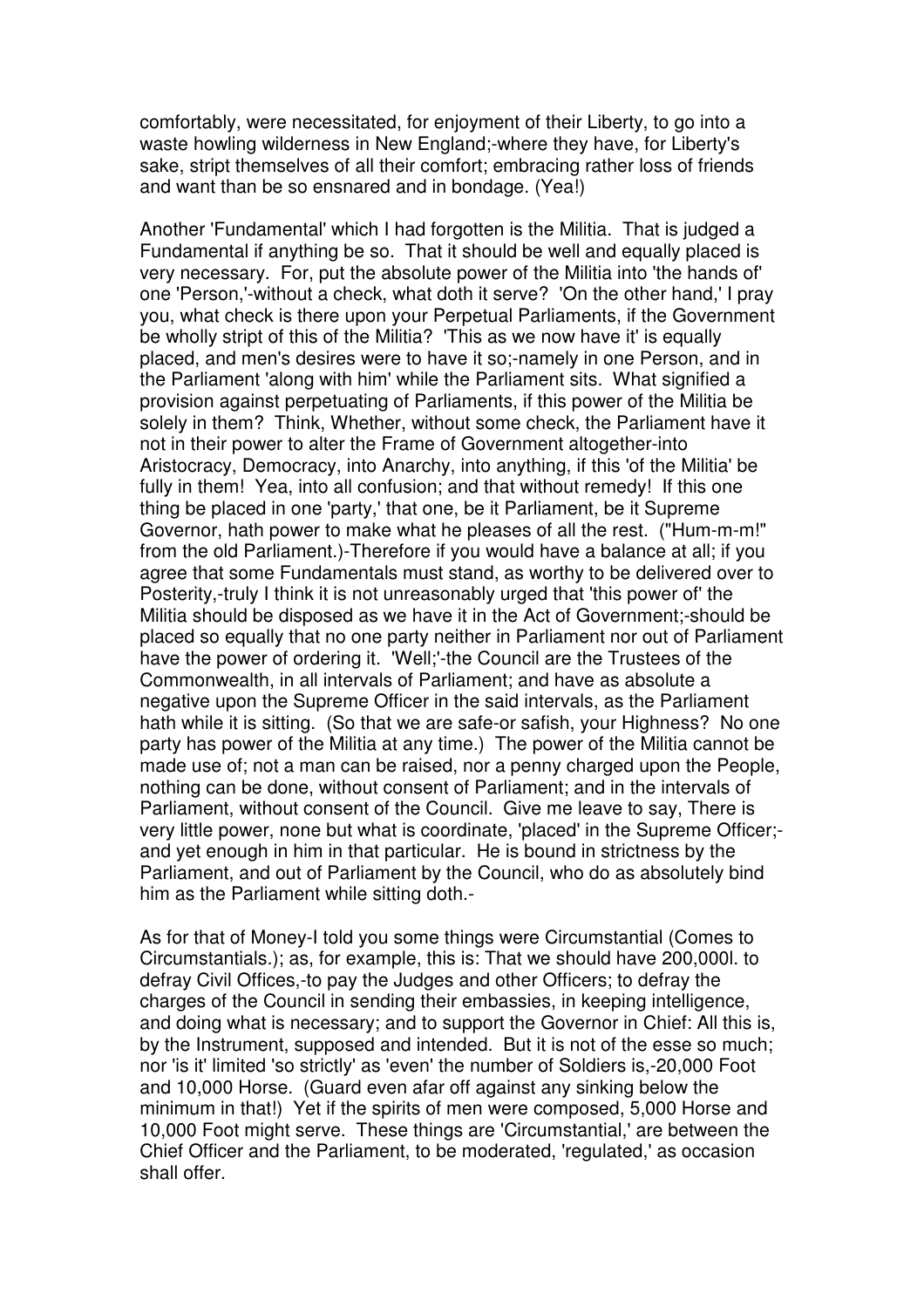comfortably, were necessitated, for enjoyment of their Liberty, to go into a waste howling wilderness in New England;-where they have, for Liberty's sake, stript themselves of all their comfort; embracing rather loss of friends and want than be so ensnared and in bondage. (Yea!)

Another 'Fundamental' which I had forgotten is the Militia. That is judged a Fundamental if anything be so. That it should be well and equally placed is very necessary. For, put the absolute power of the Militia into 'the hands of' one 'Person,'-without a check, what doth it serve? 'On the other hand,' I pray you, what check is there upon your Perpetual Parliaments, if the Government be wholly stript of this of the Militia? 'This as we now have it' is equally placed, and men's desires were to have it so;-namely in one Person, and in the Parliament 'along with him' while the Parliament sits. What signified a provision against perpetuating of Parliaments, if this power of the Militia be solely in them? Think, Whether, without some check, the Parliament have it not in their power to alter the Frame of Government altogether-into Aristocracy, Democracy, into Anarchy, into anything, if this 'of the Militia' be fully in them! Yea, into all confusion; and that without remedy! If this one thing be placed in one 'party,' that one, be it Parliament, be it Supreme Governor, hath power to make what he pleases of all the rest. ("Hum-m-m!" from the old Parliament.)-Therefore if you would have a balance at all; if you agree that some Fundamentals must stand, as worthy to be delivered over to Posterity,-truly I think it is not unreasonably urged that 'this power of' the Militia should be disposed as we have it in the Act of Government;-should be placed so equally that no one party neither in Parliament nor out of Parliament have the power of ordering it. 'Well;'-the Council are the Trustees of the Commonwealth, in all intervals of Parliament; and have as absolute a negative upon the Supreme Officer in the said intervals, as the Parliament hath while it is sitting. (So that we are safe-or safish, your Highness? No one party has power of the Militia at any time.) The power of the Militia cannot be made use of; not a man can be raised, nor a penny charged upon the People, nothing can be done, without consent of Parliament; and in the intervals of Parliament, without consent of the Council. Give me leave to say, There is very little power, none but what is coordinate, 'placed' in the Supreme Officer; and yet enough in him in that particular. He is bound in strictness by the Parliament, and out of Parliament by the Council, who do as absolutely bind him as the Parliament while sitting doth.-

As for that of Money-I told you some things were Circumstantial (Comes to Circumstantials.); as, for example, this is: That we should have 200,000l. to defray Civil Offices,-to pay the Judges and other Officers; to defray the charges of the Council in sending their embassies, in keeping intelligence, and doing what is necessary; and to support the Governor in Chief: All this is, by the Instrument, supposed and intended. But it is not of the esse so much; nor 'is it' limited 'so strictly' as 'even' the number of Soldiers is,-20,000 Foot and 10,000 Horse. (Guard even afar off against any sinking below the minimum in that!) Yet if the spirits of men were composed, 5,000 Horse and 10,000 Foot might serve. These things are 'Circumstantial,' are between the Chief Officer and the Parliament, to be moderated, 'regulated,' as occasion shall offer.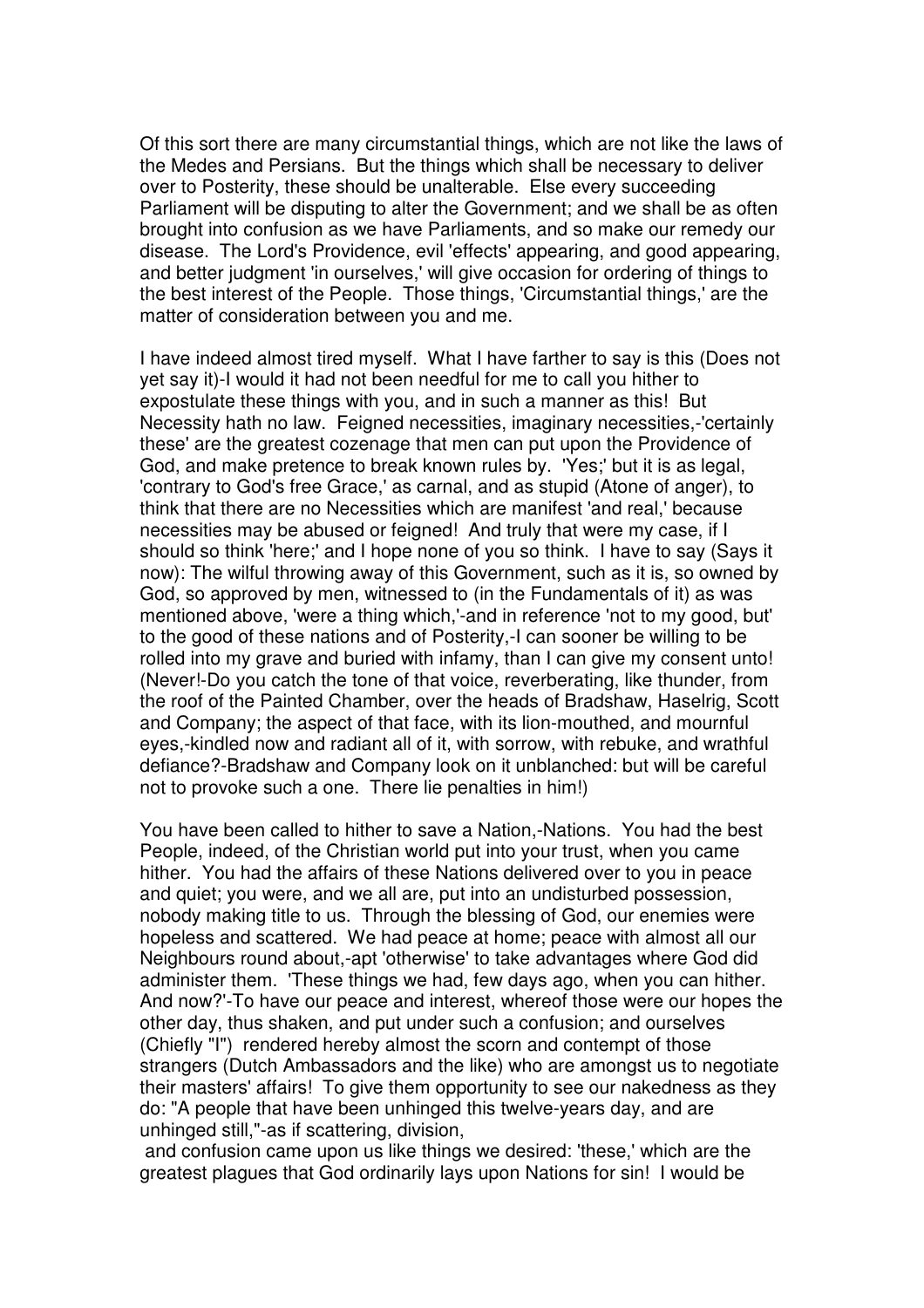Of this sort there are many circumstantial things, which are not like the laws of the Medes and Persians. But the things which shall be necessary to deliver over to Posterity, these should be unalterable. Else every succeeding Parliament will be disputing to alter the Government; and we shall be as often brought into confusion as we have Parliaments, and so make our remedy our disease. The Lord's Providence, evil 'effects' appearing, and good appearing, and better judgment 'in ourselves,' will give occasion for ordering of things to the best interest of the People. Those things, 'Circumstantial things,' are the matter of consideration between you and me.

I have indeed almost tired myself. What I have farther to say is this (Does not yet say it)-I would it had not been needful for me to call you hither to expostulate these things with you, and in such a manner as this! But Necessity hath no law. Feigned necessities, imaginary necessities,-'certainly these' are the greatest cozenage that men can put upon the Providence of God, and make pretence to break known rules by. 'Yes;' but it is as legal, 'contrary to God's free Grace,' as carnal, and as stupid (Atone of anger), to think that there are no Necessities which are manifest 'and real,' because necessities may be abused or feigned! And truly that were my case, if I should so think 'here;' and I hope none of you so think. I have to say (Says it now): The wilful throwing away of this Government, such as it is, so owned by God, so approved by men, witnessed to (in the Fundamentals of it) as was mentioned above, 'were a thing which,'-and in reference 'not to my good, but' to the good of these nations and of Posterity,-I can sooner be willing to be rolled into my grave and buried with infamy, than I can give my consent unto! (Never!-Do you catch the tone of that voice, reverberating, like thunder, from the roof of the Painted Chamber, over the heads of Bradshaw, Haselrig, Scott and Company; the aspect of that face, with its lion-mouthed, and mournful eyes,-kindled now and radiant all of it, with sorrow, with rebuke, and wrathful defiance?-Bradshaw and Company look on it unblanched: but will be careful not to provoke such a one. There lie penalties in him!)

You have been called to hither to save a Nation,-Nations. You had the best People, indeed, of the Christian world put into your trust, when you came hither. You had the affairs of these Nations delivered over to you in peace and quiet; you were, and we all are, put into an undisturbed possession, nobody making title to us. Through the blessing of God, our enemies were hopeless and scattered. We had peace at home; peace with almost all our Neighbours round about,-apt 'otherwise' to take advantages where God did administer them. 'These things we had, few days ago, when you can hither. And now?'-To have our peace and interest, whereof those were our hopes the other day, thus shaken, and put under such a confusion; and ourselves (Chiefly "I") rendered hereby almost the scorn and contempt of those strangers (Dutch Ambassadors and the like) who are amongst us to negotiate their masters' affairs! To give them opportunity to see our nakedness as they do: "A people that have been unhinged this twelve-years day, and are unhinged still,"-as if scattering, division,

 and confusion came upon us like things we desired: 'these,' which are the greatest plagues that God ordinarily lays upon Nations for sin! I would be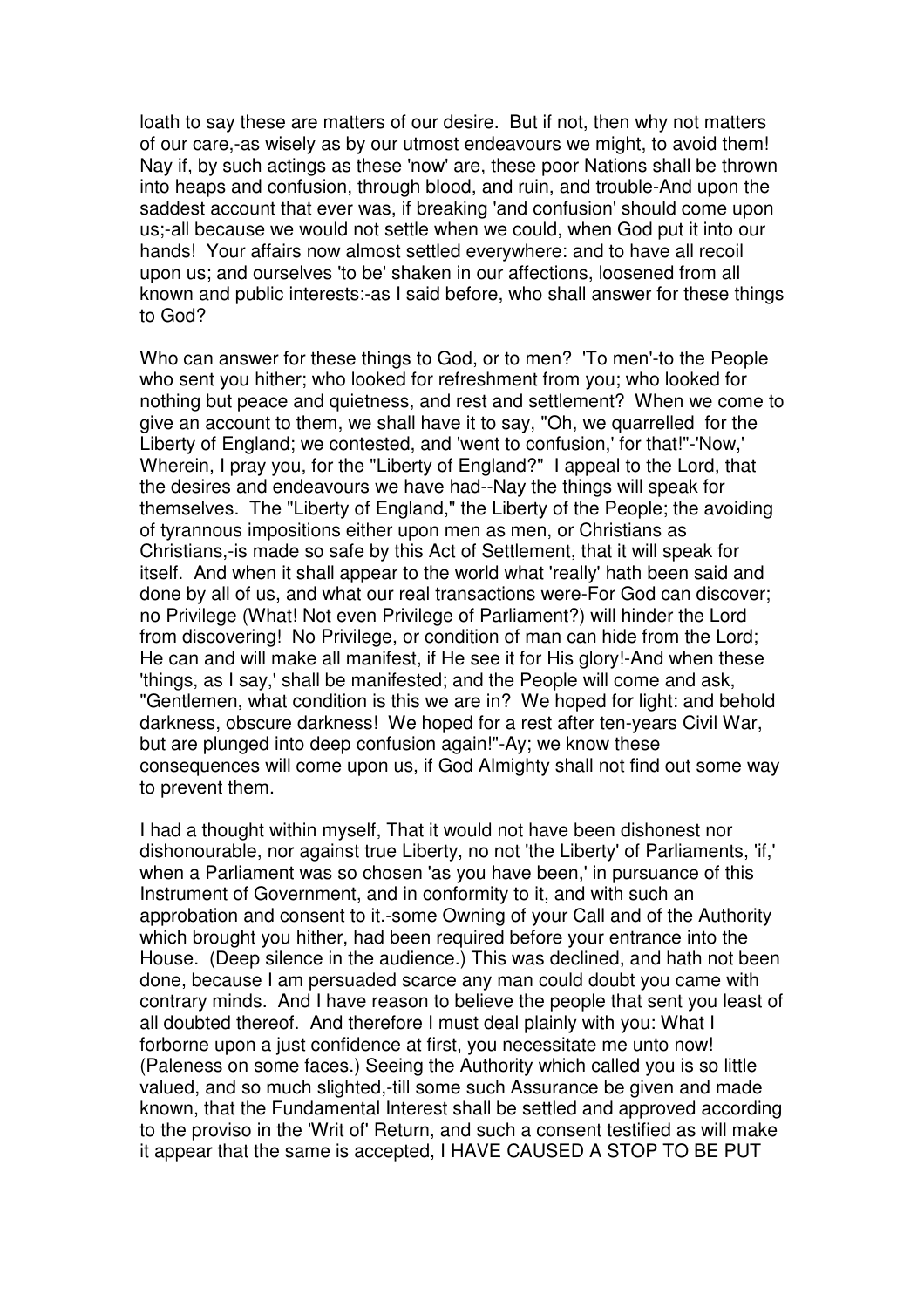loath to say these are matters of our desire. But if not, then why not matters of our care,-as wisely as by our utmost endeavours we might, to avoid them! Nay if, by such actings as these 'now' are, these poor Nations shall be thrown into heaps and confusion, through blood, and ruin, and trouble-And upon the saddest account that ever was, if breaking 'and confusion' should come upon us;-all because we would not settle when we could, when God put it into our hands! Your affairs now almost settled everywhere: and to have all recoil upon us; and ourselves 'to be' shaken in our affections, loosened from all known and public interests:-as I said before, who shall answer for these things to God?

Who can answer for these things to God, or to men? 'To men'-to the People who sent you hither; who looked for refreshment from you; who looked for nothing but peace and quietness, and rest and settlement? When we come to give an account to them, we shall have it to say, "Oh, we quarrelled for the Liberty of England; we contested, and 'went to confusion,' for that!"-'Now,' Wherein, I pray you, for the "Liberty of England?" I appeal to the Lord, that the desires and endeavours we have had--Nay the things will speak for themselves. The "Liberty of England," the Liberty of the People; the avoiding of tyrannous impositions either upon men as men, or Christians as Christians,-is made so safe by this Act of Settlement, that it will speak for itself. And when it shall appear to the world what 'really' hath been said and done by all of us, and what our real transactions were-For God can discover; no Privilege (What! Not even Privilege of Parliament?) will hinder the Lord from discovering! No Privilege, or condition of man can hide from the Lord; He can and will make all manifest, if He see it for His glory!-And when these 'things, as I say,' shall be manifested; and the People will come and ask, "Gentlemen, what condition is this we are in? We hoped for light: and behold darkness, obscure darkness! We hoped for a rest after ten-years Civil War, but are plunged into deep confusion again!"-Ay; we know these consequences will come upon us, if God Almighty shall not find out some way to prevent them.

I had a thought within myself, That it would not have been dishonest nor dishonourable, nor against true Liberty, no not 'the Liberty' of Parliaments, 'if,' when a Parliament was so chosen 'as you have been,' in pursuance of this Instrument of Government, and in conformity to it, and with such an approbation and consent to it.-some Owning of your Call and of the Authority which brought you hither, had been required before your entrance into the House. (Deep silence in the audience.) This was declined, and hath not been done, because I am persuaded scarce any man could doubt you came with contrary minds. And I have reason to believe the people that sent you least of all doubted thereof. And therefore I must deal plainly with you: What I forborne upon a just confidence at first, you necessitate me unto now! (Paleness on some faces.) Seeing the Authority which called you is so little valued, and so much slighted,-till some such Assurance be given and made known, that the Fundamental Interest shall be settled and approved according to the proviso in the 'Writ of' Return, and such a consent testified as will make it appear that the same is accepted, I HAVE CAUSED A STOP TO BE PUT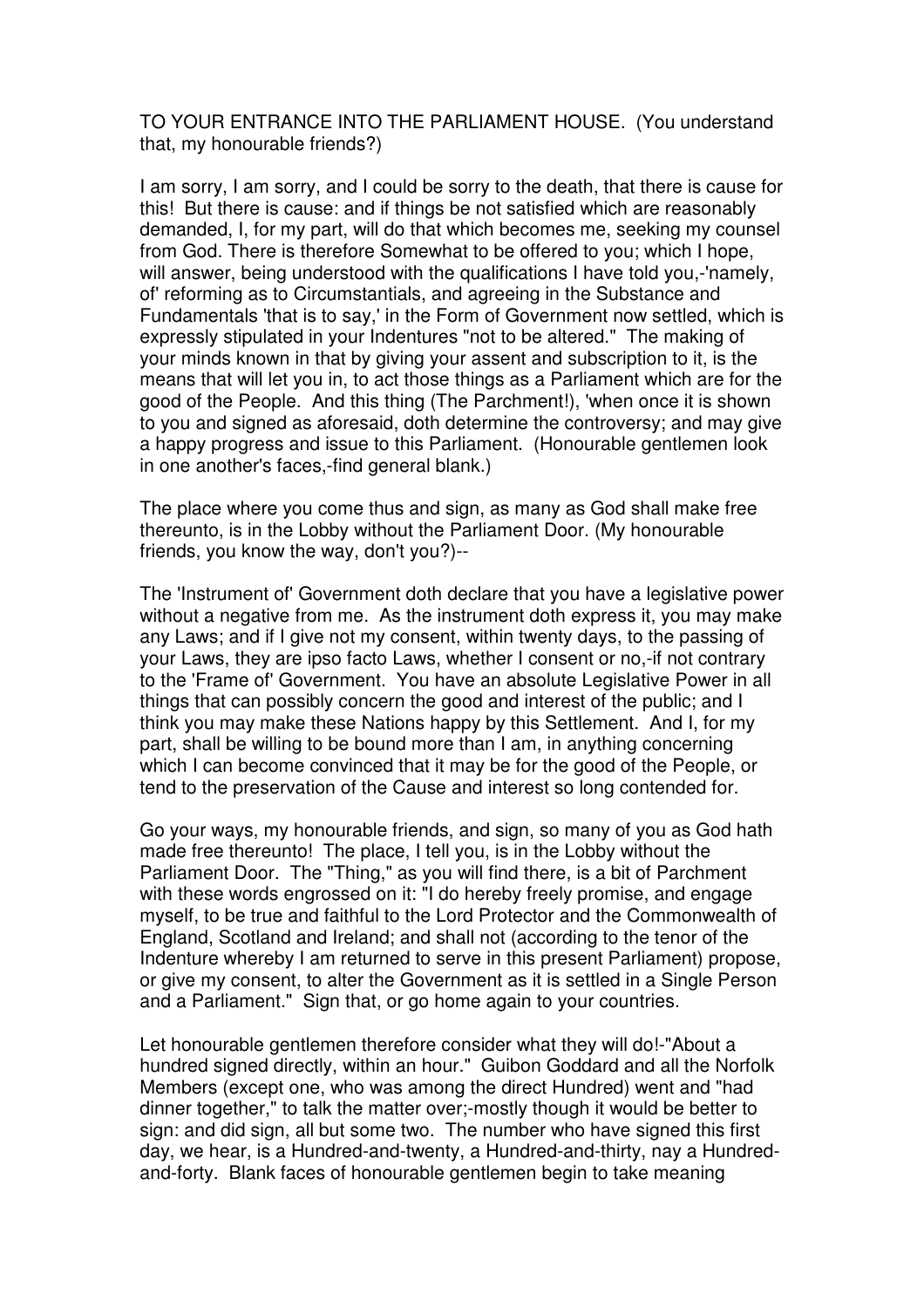TO YOUR ENTRANCE INTO THE PARLIAMENT HOUSE. (You understand that, my honourable friends?)

I am sorry, I am sorry, and I could be sorry to the death, that there is cause for this! But there is cause: and if things be not satisfied which are reasonably demanded, I, for my part, will do that which becomes me, seeking my counsel from God. There is therefore Somewhat to be offered to you; which I hope, will answer, being understood with the qualifications I have told you,-'namely, of' reforming as to Circumstantials, and agreeing in the Substance and Fundamentals 'that is to say,' in the Form of Government now settled, which is expressly stipulated in your Indentures "not to be altered." The making of your minds known in that by giving your assent and subscription to it, is the means that will let you in, to act those things as a Parliament which are for the good of the People. And this thing (The Parchment!), 'when once it is shown to you and signed as aforesaid, doth determine the controversy; and may give a happy progress and issue to this Parliament. (Honourable gentlemen look in one another's faces,-find general blank.)

The place where you come thus and sign, as many as God shall make free thereunto, is in the Lobby without the Parliament Door. (My honourable friends, you know the way, don't you?)--

The 'Instrument of' Government doth declare that you have a legislative power without a negative from me. As the instrument doth express it, you may make any Laws; and if I give not my consent, within twenty days, to the passing of your Laws, they are ipso facto Laws, whether I consent or no,-if not contrary to the 'Frame of' Government. You have an absolute Legislative Power in all things that can possibly concern the good and interest of the public; and I think you may make these Nations happy by this Settlement. And I, for my part, shall be willing to be bound more than I am, in anything concerning which I can become convinced that it may be for the good of the People, or tend to the preservation of the Cause and interest so long contended for.

Go your ways, my honourable friends, and sign, so many of you as God hath made free thereunto! The place, I tell you, is in the Lobby without the Parliament Door. The "Thing," as you will find there, is a bit of Parchment with these words engrossed on it: "I do hereby freely promise, and engage myself, to be true and faithful to the Lord Protector and the Commonwealth of England, Scotland and Ireland; and shall not (according to the tenor of the Indenture whereby I am returned to serve in this present Parliament) propose, or give my consent, to alter the Government as it is settled in a Single Person and a Parliament." Sign that, or go home again to your countries.

Let honourable gentlemen therefore consider what they will do!-"About a hundred signed directly, within an hour." Guibon Goddard and all the Norfolk Members (except one, who was among the direct Hundred) went and "had dinner together," to talk the matter over;-mostly though it would be better to sign: and did sign, all but some two. The number who have signed this first day, we hear, is a Hundred-and-twenty, a Hundred-and-thirty, nay a Hundredand-forty. Blank faces of honourable gentlemen begin to take meaning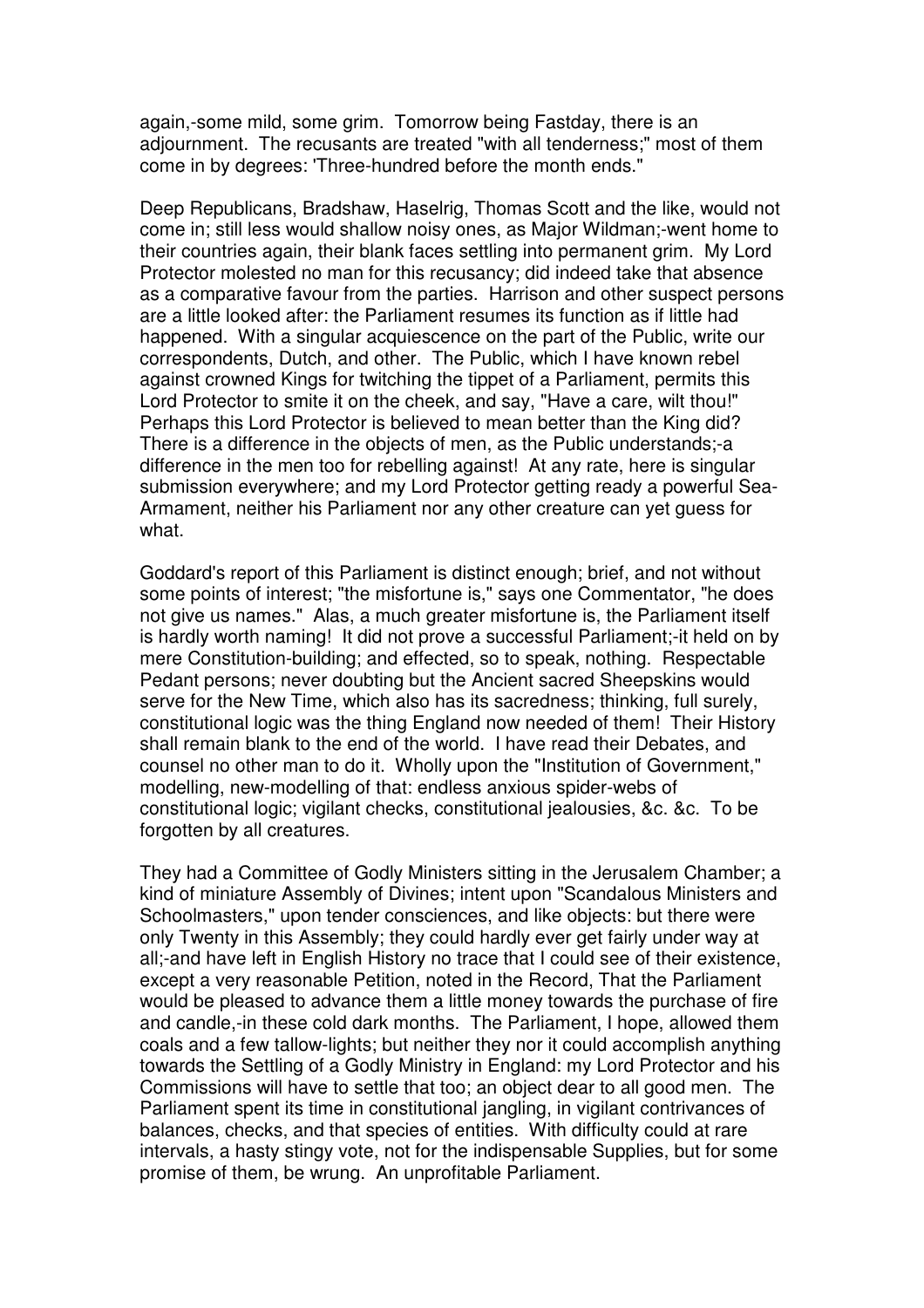again,-some mild, some grim. Tomorrow being Fastday, there is an adjournment. The recusants are treated "with all tenderness;" most of them come in by degrees: 'Three-hundred before the month ends."

Deep Republicans, Bradshaw, Haselrig, Thomas Scott and the like, would not come in; still less would shallow noisy ones, as Major Wildman;-went home to their countries again, their blank faces settling into permanent grim. My Lord Protector molested no man for this recusancy; did indeed take that absence as a comparative favour from the parties. Harrison and other suspect persons are a little looked after: the Parliament resumes its function as if little had happened. With a singular acquiescence on the part of the Public, write our correspondents, Dutch, and other. The Public, which I have known rebel against crowned Kings for twitching the tippet of a Parliament, permits this Lord Protector to smite it on the cheek, and say, "Have a care, wilt thou!" Perhaps this Lord Protector is believed to mean better than the King did? There is a difference in the objects of men, as the Public understands;-a difference in the men too for rebelling against! At any rate, here is singular submission everywhere; and my Lord Protector getting ready a powerful Sea-Armament, neither his Parliament nor any other creature can yet guess for what.

Goddard's report of this Parliament is distinct enough; brief, and not without some points of interest; "the misfortune is," says one Commentator, "he does not give us names." Alas, a much greater misfortune is, the Parliament itself is hardly worth naming! It did not prove a successful Parliament;-it held on by mere Constitution-building; and effected, so to speak, nothing. Respectable Pedant persons; never doubting but the Ancient sacred Sheepskins would serve for the New Time, which also has its sacredness; thinking, full surely, constitutional logic was the thing England now needed of them! Their History shall remain blank to the end of the world. I have read their Debates, and counsel no other man to do it. Wholly upon the "Institution of Government," modelling, new-modelling of that: endless anxious spider-webs of constitutional logic; vigilant checks, constitutional jealousies, &c. &c. To be forgotten by all creatures.

They had a Committee of Godly Ministers sitting in the Jerusalem Chamber; a kind of miniature Assembly of Divines; intent upon "Scandalous Ministers and Schoolmasters," upon tender consciences, and like objects: but there were only Twenty in this Assembly; they could hardly ever get fairly under way at all;-and have left in English History no trace that I could see of their existence, except a very reasonable Petition, noted in the Record, That the Parliament would be pleased to advance them a little money towards the purchase of fire and candle,-in these cold dark months. The Parliament, I hope, allowed them coals and a few tallow-lights; but neither they nor it could accomplish anything towards the Settling of a Godly Ministry in England: my Lord Protector and his Commissions will have to settle that too; an object dear to all good men. The Parliament spent its time in constitutional jangling, in vigilant contrivances of balances, checks, and that species of entities. With difficulty could at rare intervals, a hasty stingy vote, not for the indispensable Supplies, but for some promise of them, be wrung. An unprofitable Parliament.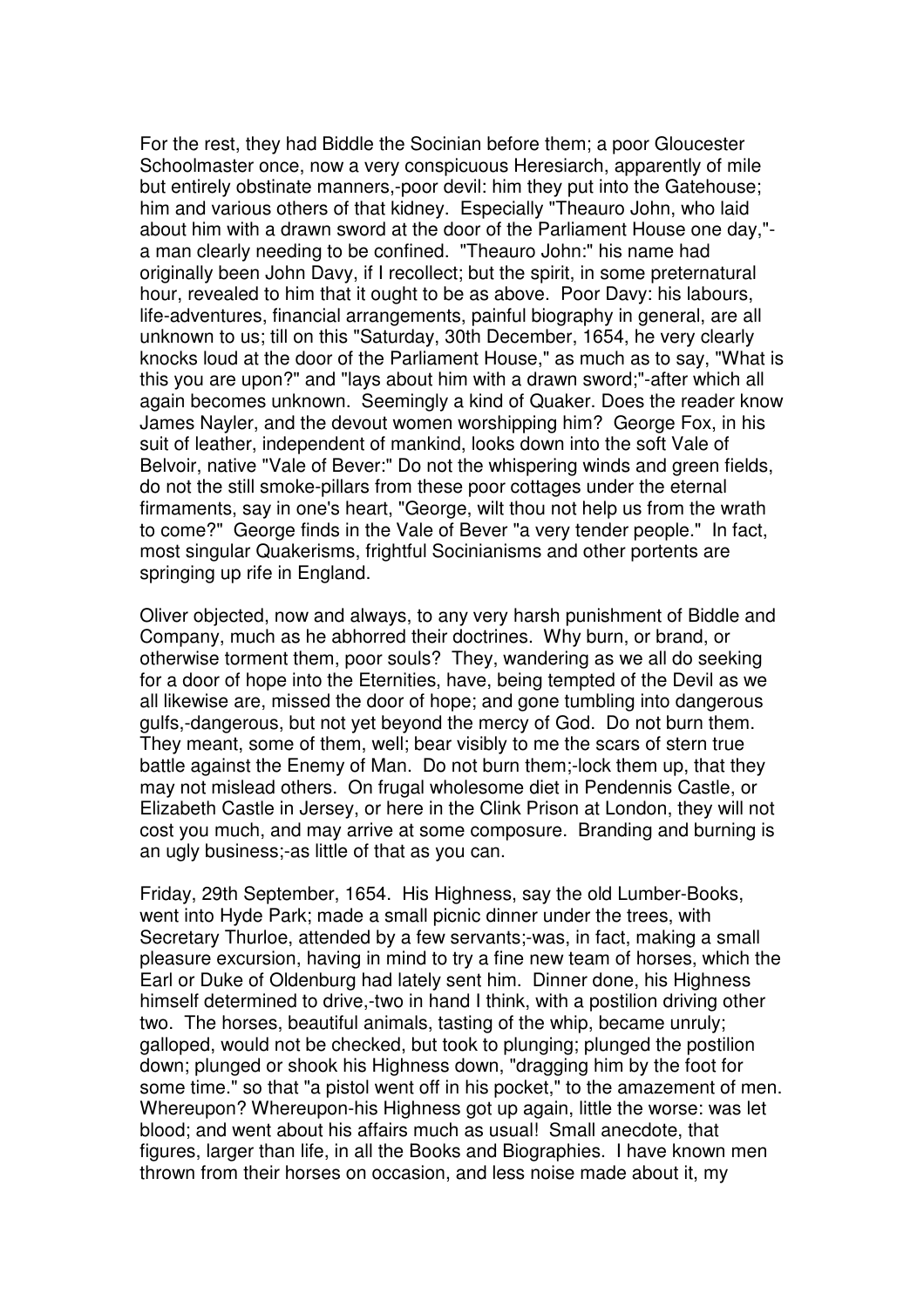For the rest, they had Biddle the Socinian before them; a poor Gloucester Schoolmaster once, now a very conspicuous Heresiarch, apparently of mile but entirely obstinate manners,-poor devil: him they put into the Gatehouse; him and various others of that kidney. Especially "Theauro John, who laid about him with a drawn sword at the door of the Parliament House one day," a man clearly needing to be confined. "Theauro John:" his name had originally been John Davy, if I recollect; but the spirit, in some preternatural hour, revealed to him that it ought to be as above. Poor Davy: his labours, life-adventures, financial arrangements, painful biography in general, are all unknown to us; till on this "Saturday, 30th December, 1654, he very clearly knocks loud at the door of the Parliament House," as much as to say, "What is this you are upon?" and "lays about him with a drawn sword;"-after which all again becomes unknown. Seemingly a kind of Quaker. Does the reader know James Nayler, and the devout women worshipping him? George Fox, in his suit of leather, independent of mankind, looks down into the soft Vale of Belvoir, native "Vale of Bever:" Do not the whispering winds and green fields, do not the still smoke-pillars from these poor cottages under the eternal firmaments, say in one's heart, "George, wilt thou not help us from the wrath to come?" George finds in the Vale of Bever "a very tender people." In fact, most singular Quakerisms, frightful Socinianisms and other portents are springing up rife in England.

Oliver objected, now and always, to any very harsh punishment of Biddle and Company, much as he abhorred their doctrines. Why burn, or brand, or otherwise torment them, poor souls? They, wandering as we all do seeking for a door of hope into the Eternities, have, being tempted of the Devil as we all likewise are, missed the door of hope; and gone tumbling into dangerous gulfs,-dangerous, but not yet beyond the mercy of God. Do not burn them. They meant, some of them, well; bear visibly to me the scars of stern true battle against the Enemy of Man. Do not burn them;-lock them up, that they may not mislead others. On frugal wholesome diet in Pendennis Castle, or Elizabeth Castle in Jersey, or here in the Clink Prison at London, they will not cost you much, and may arrive at some composure. Branding and burning is an ugly business;-as little of that as you can.

Friday, 29th September, 1654. His Highness, say the old Lumber-Books, went into Hyde Park; made a small picnic dinner under the trees, with Secretary Thurloe, attended by a few servants;-was, in fact, making a small pleasure excursion, having in mind to try a fine new team of horses, which the Earl or Duke of Oldenburg had lately sent him. Dinner done, his Highness himself determined to drive,-two in hand I think, with a postilion driving other two. The horses, beautiful animals, tasting of the whip, became unruly; galloped, would not be checked, but took to plunging; plunged the postilion down; plunged or shook his Highness down, "dragging him by the foot for some time." so that "a pistol went off in his pocket," to the amazement of men. Whereupon? Whereupon-his Highness got up again, little the worse: was let blood; and went about his affairs much as usual! Small anecdote, that figures, larger than life, in all the Books and Biographies. I have known men thrown from their horses on occasion, and less noise made about it, my